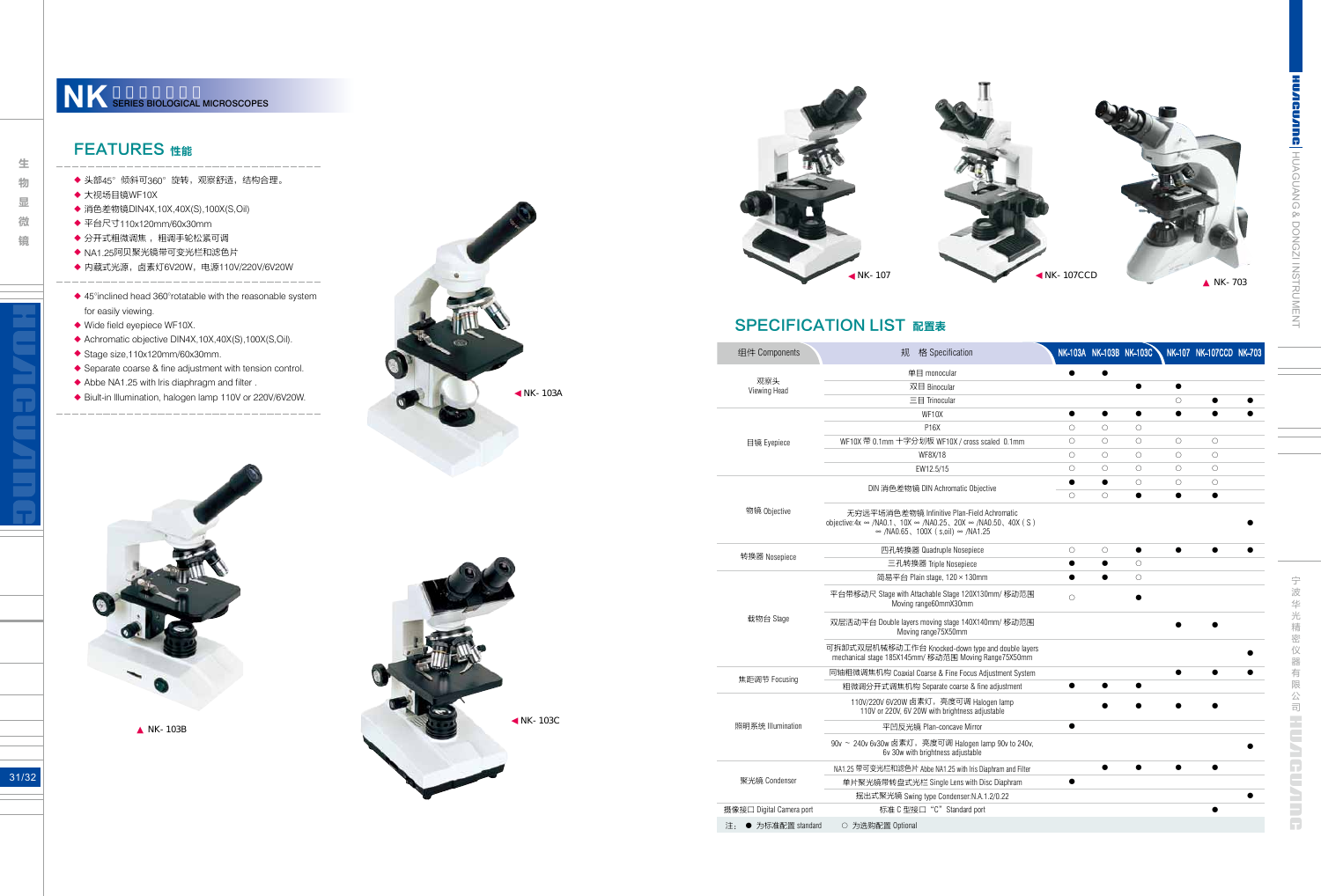**CUMPRE, HUAGUANG & DONGZI INSTRUMENT** HUAGUANG & DONGZI INSTRUMENT

宁波华光精密仪器有限公司 工工工工口工工工厂 宁波华光精密仪器有限公司

NK-103B



# **SPECIFICATION LIST 配置表**



NK-103C





| 组件 Components            | 格 Specification<br>规                                                                                                                                                         |            |            | NK-103A NK-103B NK-103C |            | NK-107 NK-107CCD NK-703 |  |
|--------------------------|------------------------------------------------------------------------------------------------------------------------------------------------------------------------------|------------|------------|-------------------------|------------|-------------------------|--|
| 观察头<br>Viewing Head      | 单目 monocular                                                                                                                                                                 |            |            |                         |            |                         |  |
|                          | 双目 Binocular                                                                                                                                                                 |            |            |                         |            |                         |  |
|                          | $\equiv$ $\equiv$ Trinocular                                                                                                                                                 |            |            |                         | $\bigcirc$ |                         |  |
| 目镜 Eyepiece              | WF10X                                                                                                                                                                        |            | ●          |                         | ●          |                         |  |
|                          | P16X                                                                                                                                                                         | $\bigcirc$ | $\bigcirc$ | $\circ$                 |            |                         |  |
|                          | WF10X 带 0.1mm 十字分划板 WF10X / cross scaled 0.1mm                                                                                                                               | $\circ$    | $\circ$    | $\bigcirc$              | $\circ$    | $\circ$                 |  |
|                          | WF8X/18                                                                                                                                                                      | $\circ$    | $\bigcirc$ | $\circ$                 | $\circ$    | $\circ$                 |  |
|                          | EW12.5/15                                                                                                                                                                    | $\circ$    | $\circ$    | $\bigcirc$              | $\circ$    | $\circ$                 |  |
| 物镜 Objective             | DIN 消色差物镜 DIN Achromatic Objective                                                                                                                                           |            | $\bullet$  | $\circ$                 | $\circ$    | $\circ$                 |  |
|                          |                                                                                                                                                                              | $\bigcirc$ | $\bigcirc$ |                         |            |                         |  |
|                          | 无穷远平场消色差物镜 Infinitive Plan-Field Achromatic<br>objective: $4x \approx /NA0.1$ , $10X \approx /NA0.25$ , $20X \approx /NA0.50$ , $40X(S)$<br>∞ /NA0.65、100X (s,oil) ∞ /NA1.25 |            |            |                         |            |                         |  |
| 转换器 Nosepiece            | 四孔转换器 Quadruple Nosepiece                                                                                                                                                    | $\bigcirc$ | $\circ$    |                         |            |                         |  |
|                          | 三孔转换器 Triple Nosepiece                                                                                                                                                       |            | $\bullet$  | $\circ$                 |            |                         |  |
| 载物台 Stage                | 简易平台 Plain stage, 120 × 130mm                                                                                                                                                |            |            | $\bigcirc$              |            |                         |  |
|                          | 平台带移动尺 Stage with Attachable Stage 120X130mm/ 移动范围<br>Moving range60mmX30mm                                                                                                  | $\circ$    |            |                         |            |                         |  |
|                          | 双层活动平台 Double layers moving stage 140X140mm/ 移动范围<br>Moving range75X50mm                                                                                                     |            |            |                         |            |                         |  |
|                          | 可拆卸式双层机械移动工作台 Knocked-down type and double layers<br>mechanical stage 185X145mm/ 移动范围 Moving Range75X50mm                                                                    |            |            |                         |            |                         |  |
| 焦距调节 Focusing            | 同轴粗微调焦机构 Coaxial Coarse & Fine Focus Adjustment System                                                                                                                       |            |            |                         |            |                         |  |
|                          | 粗微调分开式调焦机构 Separate coarse & fine adjustment                                                                                                                                 |            |            |                         |            |                         |  |
| 照明系统 Illumination        | 110V/220V 6V20W 卤素灯, 亮度可调 Halogen lamp<br>110V or 220V, 6V 20W with brightness adjustable                                                                                    |            |            |                         |            |                         |  |
|                          | 平凹反光镜 Plan-concave Mirror                                                                                                                                                    |            |            |                         |            |                         |  |
|                          | 90v ~ 240v 6v30w 卤素灯, 亮度可调 Halogen lamp 90v to 240v,<br>6v 30w with brightness adjustable                                                                                    |            |            |                         |            |                         |  |
| 聚光镜 Condenser            | NA1.25 带可变光栏和滤色片 Abbe NA1.25 with Iris Diaphram and Filter                                                                                                                   |            |            |                         |            |                         |  |
|                          | 单片聚光镜带转盘式光栏 Single Lens with Disc Diaphram                                                                                                                                   |            |            |                         |            |                         |  |
|                          | 摇出式聚光镜 Swing type Condenser:N.A.1.2/0.22                                                                                                                                     |            |            |                         |            |                         |  |
| 摄像接口 Digital Camera port | 标准 C 型接口 "C" Standard port                                                                                                                                                   |            |            |                         |            |                         |  |
| 注: ● 为标准配置 standard      | ○ 为选购配置 Optional                                                                                                                                                             |            |            |                         |            |                         |  |

しゅうしゅう しゅうしゅう しゅうしゅう しゅうしゅう しゅうしゅう しゅうしゅう しゅうしゅう しゅうしゅう しゅうしゅう しゅうしゅう しゅうしゅう しゅうしゅう しゅうしゅう しゅうしゅう しゅうしゅう しゅうしゃ 物 显 微

镜

生

#### FEATURES 性能

- 头部45°倾斜可360°旋转,观察舒适,结构合理。
- 大视场目镜WF10X
- 消色差物镜DIN4X,10X,40X(S),100X(S,Oil)
- 平台尺寸110x120mm/60x30mm
- 分开式粗微调焦 ,粗调手轮松紧可调
- NA1.25阿贝聚光镜带可变光栏和滤色片
- 内藏式光源,卤素灯6V20W,电源110V/220V/6V20W <u> 1111111111111111</u>
- ◆ 45°inclined head 360°rotatable with the reasonable system for easily viewing. ◆◆◆◆◆◆◆◆◆◆◆◆◆◆
- ◆ Wide field eyepiece WF10X.
- ◆ Achromatic objective DIN4X,10X,40X(S),100X(S,Oil).
- ◆ Stage size,110x120mm/60x30mm.
- ◆ Separate coarse & fine adjustment with tension control.
- ◆ Abbe NA1.25 with Iris diaphragm and filter.

Biult-in lllumination, halogen lamp 110V or 220V/6V20W.